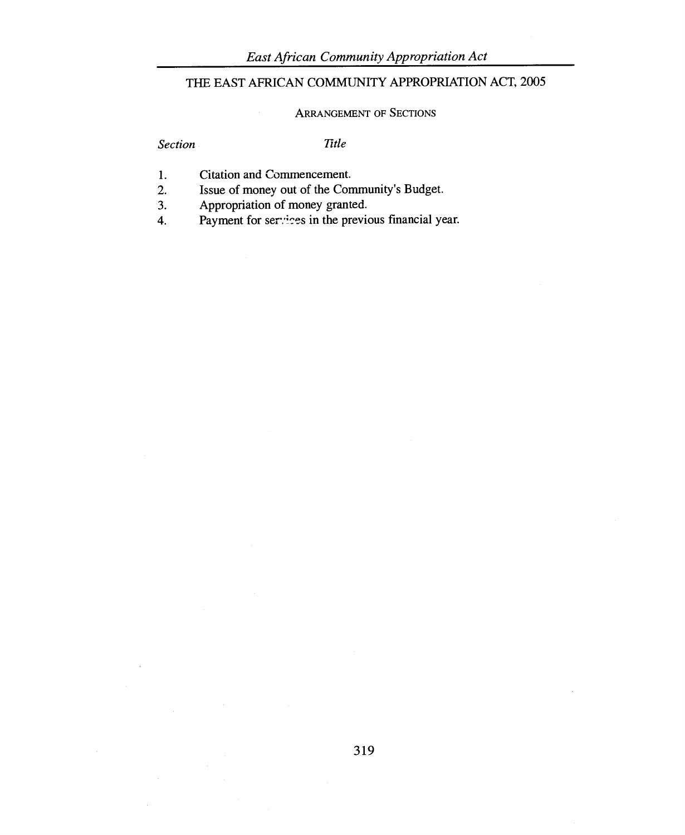# THE EAST AFRICAN COMMUNITY APPROPRIATION ACT, 2005

### ARRANGEMENT OF SECTIONS

## *Section Title*

- 1. Citation and Commencement.<br>2. Issue of money out of the Con
- 2. Issue of money out of the Community's Budget.
- 3. Appropriation of money granted.<br>4. Payment for services in the previo
- Payment for services in the previous financial year.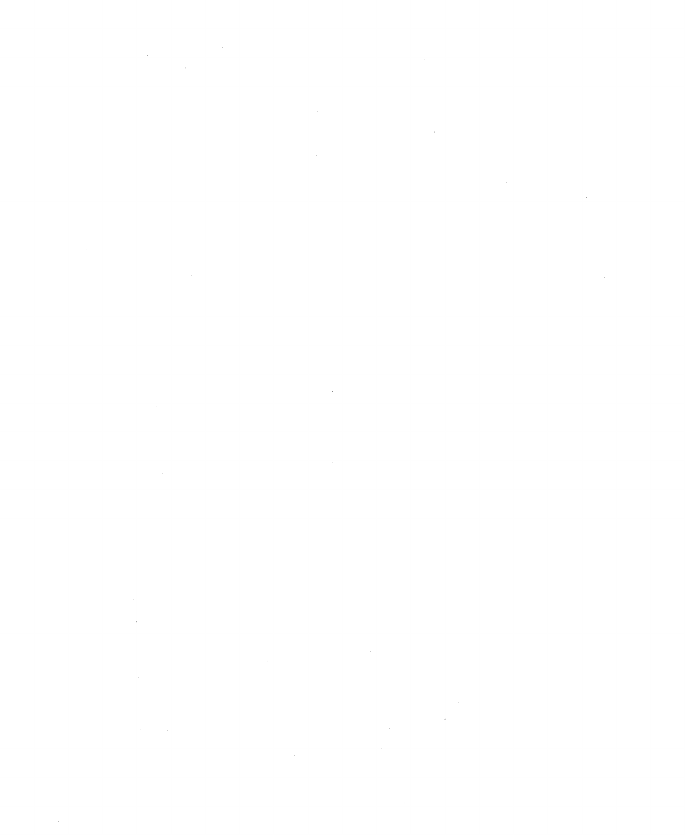$\label{eq:2.1} \frac{1}{\sqrt{2}}\int_{\mathbb{R}^3}\frac{1}{\sqrt{2}}\left(\frac{1}{\sqrt{2}}\right)^2\frac{1}{\sqrt{2}}\left(\frac{1}{\sqrt{2}}\right)^2\frac{1}{\sqrt{2}}\left(\frac{1}{\sqrt{2}}\right)^2\frac{1}{\sqrt{2}}\left(\frac{1}{\sqrt{2}}\right)^2\frac{1}{\sqrt{2}}\left(\frac{1}{\sqrt{2}}\right)^2.$ 

 $\label{eq:2.1} \frac{1}{2} \sum_{i=1}^n \frac{1}{2} \sum_{j=1}^n \frac{1}{2} \sum_{j=1}^n \frac{1}{2} \sum_{j=1}^n \frac{1}{2} \sum_{j=1}^n \frac{1}{2} \sum_{j=1}^n \frac{1}{2} \sum_{j=1}^n \frac{1}{2} \sum_{j=1}^n \frac{1}{2} \sum_{j=1}^n \frac{1}{2} \sum_{j=1}^n \frac{1}{2} \sum_{j=1}^n \frac{1}{2} \sum_{j=1}^n \frac{1}{2} \sum_{j=1}^n \frac{$ 

 $\label{eq:2.1} \frac{1}{\sqrt{2}}\left(\frac{1}{\sqrt{2}}\right)^{2} \left(\frac{1}{\sqrt{2}}\right)^{2} \left(\frac{1}{\sqrt{2}}\right)^{2} \left(\frac{1}{\sqrt{2}}\right)^{2} \left(\frac{1}{\sqrt{2}}\right)^{2} \left(\frac{1}{\sqrt{2}}\right)^{2} \left(\frac{1}{\sqrt{2}}\right)^{2} \left(\frac{1}{\sqrt{2}}\right)^{2} \left(\frac{1}{\sqrt{2}}\right)^{2} \left(\frac{1}{\sqrt{2}}\right)^{2} \left(\frac{1}{\sqrt{2}}\right)^{2} \left(\$ 

 $\label{eq:2.1} \frac{1}{\sqrt{2}}\int_{\mathbb{R}^3}\frac{1}{\sqrt{2}}\left(\frac{1}{\sqrt{2}}\right)^2\frac{1}{\sqrt{2}}\left(\frac{1}{\sqrt{2}}\right)^2\frac{1}{\sqrt{2}}\left(\frac{1}{\sqrt{2}}\right)^2\frac{1}{\sqrt{2}}\left(\frac{1}{\sqrt{2}}\right)^2.$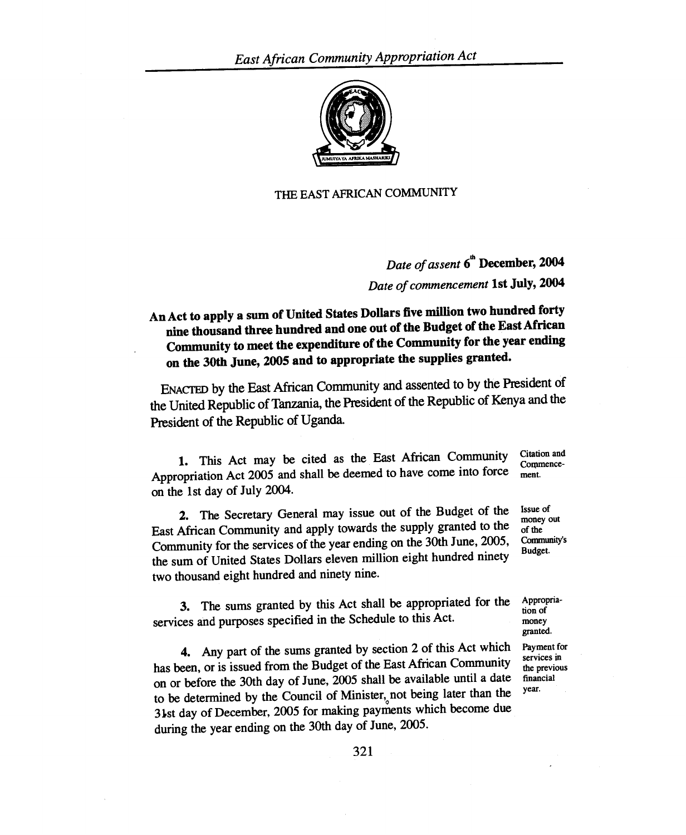

## THE EAST AFRICAN COMMUNITY

*Date of assent 6th* **December, 2004**  *Date of commencement* **1st July, 2004** 

**An Act to apply a sum of United States Dollars Bye million two hundred forty nine thousand three hundred and one out of the Budget of the East African Community to meet the expenditure of the Community for the year ending on the 30th June, 2005 and to appropriate the supplies granted.** 

**ENACTED** by the East African Community and assented to by the President of the United Republic of Tanzania, the President of the Republic of Kenya and the President of the Republic of Uganda.

1. This Act may be cited as the East African Community Appropriation Act 2005 and shall be deemed to have come into force on the 1st day of July 2004.

2. The Secretary General may issue out of the Budget of the East African Community and apply towards the supply granted to the Community for the services of the year ending on the 30th June, 2005, the sum of United States Dollars eleven million eight hundred ninety two thousand eight hundred and ninety nine.

3. The sums granted by this Act shall be appropriated for the services and purposes specified in the Schedule to this Act.

4. Any part of the sums granted by section 2 of this Act which has been, or is issued from the Budget of the East African Community on or before the 30th day of June, 2005 shall be available until a date to be determined by the Council of Minister, not being later than the 31st day of December, 2005 for making payments which become due during the year ending on the 30th day of June, 2005.

Citation and Commencement.

Issue of money out of the Community's Budget.

Appropriation of money granted.

Payment for services in the previous financial year.